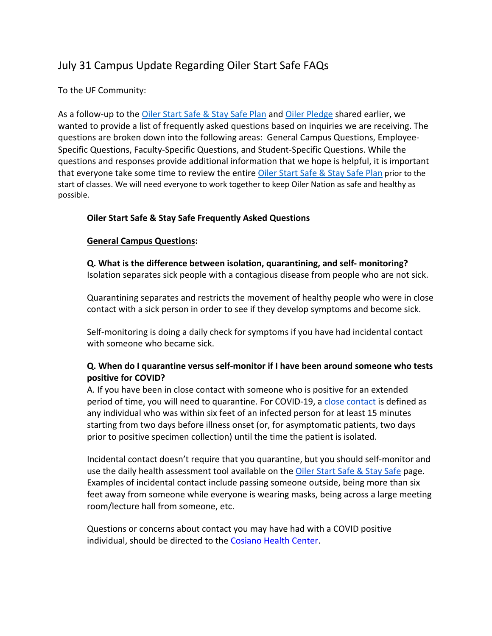# July 31 Campus Update Regarding Oiler Start Safe FAQs

# To the UF Community:

As a follow-up to the Oiler Start Safe & Stay Safe Plan and Oiler Pledge shared earlier, we wanted to provide a list of frequently asked questions based on inquiries we are receiving. The questions are broken down into the following areas: General Campus Questions, Employee-Specific Questions, Faculty-Specific Questions, and Student-Specific Questions. While the questions and responses provide additional information that we hope is helpful, it is important that everyone take some time to review the entire Oiler Start Safe & Stay Safe Plan prior to the start of classes. We will need everyone to work together to keep Oiler Nation as safe and healthy as possible.

# **Oiler Start Safe & Stay Safe Frequently Asked Questions**

# **General Campus Questions:**

**Q. What is the difference between isolation, quarantining, and self- monitoring?** Isolation separates sick people with a contagious disease from people who are not sick.

Quarantining separates and restricts the movement of healthy people who were in close contact with a sick person in order to see if they develop symptoms and become sick.

Self-monitoring is doing a daily check for symptoms if you have had incidental contact with someone who became sick.

# **Q. When do I quarantine versus self-monitor if I have been around someone who tests positive for COVID?**

A. If you have been in close contact with someone who is positive for an extended period of time, you will need to quarantine. For COVID-19, a close contact is defined as any individual who was within six feet of an infected person for at least 15 minutes starting from two days before illness onset (or, for asymptomatic patients, two days prior to positive specimen collection) until the time the patient is isolated.

Incidental contact doesn't require that you quarantine, but you should self-monitor and use the daily health assessment tool available on the Oiler Start Safe & Stay Safe page. Examples of incidental contact include passing someone outside, being more than six feet away from someone while everyone is wearing masks, being across a large meeting room/lecture hall from someone, etc.

Questions or concerns about contact you may have had with a COVID positive individual, should be directed to the Cosiano Health Center.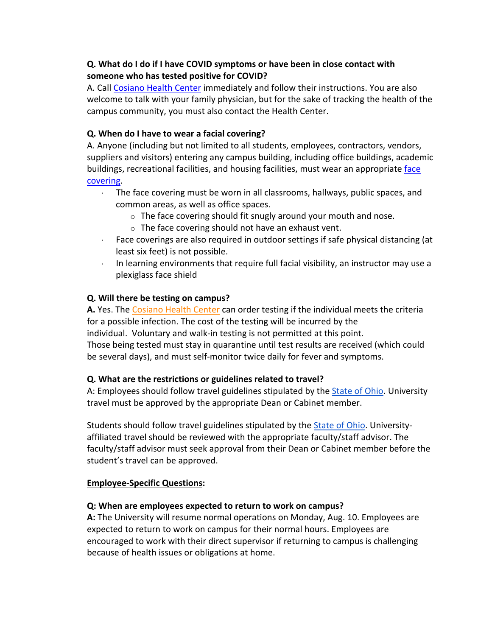# **Q. What do I do if I have COVID symptoms or have been in close contact with someone who has tested positive for COVID?**

A. Call Cosiano Health Center immediately and follow their instructions. You are also welcome to talk with your family physician, but for the sake of tracking the health of the campus community, you must also contact the Health Center.

# **Q. When do I have to wear a facial covering?**

A. Anyone (including but not limited to all students, employees, contractors, vendors, suppliers and visitors) entering any campus building, including office buildings, academic buildings, recreational facilities, and housing facilities, must wear an appropriate face covering.

- · The face covering must be worn in all classrooms, hallways, public spaces, and common areas, as well as office spaces.
	- o The face covering should fit snugly around your mouth and nose.
	- $\circ$  The face covering should not have an exhaust vent.
- · Face coverings are also required in outdoor settings if safe physical distancing (at least six feet) is not possible.
- · In learning environments that require full facial visibility, an instructor may use a plexiglass face shield

# **Q. Will there be testing on campus?**

**A.** Yes. The Cosiano Health Center can order testing if the individual meets the criteria for a possible infection. The cost of the testing will be incurred by the individual. Voluntary and walk-in testing is not permitted at this point. Those being tested must stay in quarantine until test results are received (which could be several days), and must self-monitor twice daily for fever and symptoms.

# **Q. What are the restrictions or guidelines related to travel?**

A: Employees should follow travel guidelines stipulated by the State of Ohio. University travel must be approved by the appropriate Dean or Cabinet member.

Students should follow travel guidelines stipulated by the State of Ohio. Universityaffiliated travel should be reviewed with the appropriate faculty/staff advisor. The faculty/staff advisor must seek approval from their Dean or Cabinet member before the student's travel can be approved.

# **Employee-Specific Questions:**

# **Q: When are employees expected to return to work on campus?**

**A:** The University will resume normal operations on Monday, Aug. 10. Employees are expected to return to work on campus for their normal hours. Employees are encouraged to work with their direct supervisor if returning to campus is challenging because of health issues or obligations at home.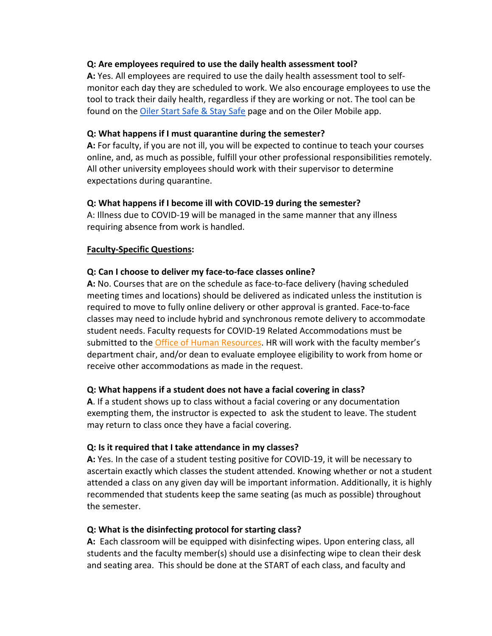#### **Q: Are employees required to use the daily health assessment tool?**

**A:** Yes. All employees are required to use the daily health assessment tool to selfmonitor each day they are scheduled to work. We also encourage employees to use the tool to track their daily health, regardless if they are working or not. The tool can be found on the Oiler Start Safe & Stay Safe page and on the Oiler Mobile app.

#### **Q: What happens if I must quarantine during the semester?**

**A:** For faculty, if you are not ill, you will be expected to continue to teach your courses online, and, as much as possible, fulfill your other professional responsibilities remotely. All other university employees should work with their supervisor to determine expectations during quarantine.

# **Q: What happens if I become ill with COVID-19 during the semester?**

A: Illness due to COVID-19 will be managed in the same manner that any illness requiring absence from work is handled.

# **Faculty-Specific Questions:**

# **Q: Can I choose to deliver my face-to-face classes online?**

**A:** No. Courses that are on the schedule as face-to-face delivery (having scheduled meeting times and locations) should be delivered as indicated unless the institution is required to move to fully online delivery or other approval is granted. Face-to-face classes may need to include hybrid and synchronous remote delivery to accommodate student needs. Faculty requests for COVID-19 Related Accommodations must be submitted to the Office of Human Resources. HR will work with the faculty member's department chair, and/or dean to evaluate employee eligibility to work from home or receive other accommodations as made in the request.

# **Q: What happens if a student does not have a facial covering in class?**

**A**. If a student shows up to class without a facial covering or any documentation exempting them, the instructor is expected to ask the student to leave. The student may return to class once they have a facial covering.

# **Q: Is it required that I take attendance in my classes?**

**A:** Yes. In the case of a student testing positive for COVID-19, it will be necessary to ascertain exactly which classes the student attended. Knowing whether or not a student attended a class on any given day will be important information. Additionally, it is highly recommended that students keep the same seating (as much as possible) throughout the semester.

# **Q: What is the disinfecting protocol for starting class?**

**A:** Each classroom will be equipped with disinfecting wipes. Upon entering class, all students and the faculty member(s) should use a disinfecting wipe to clean their desk and seating area. This should be done at the START of each class, and faculty and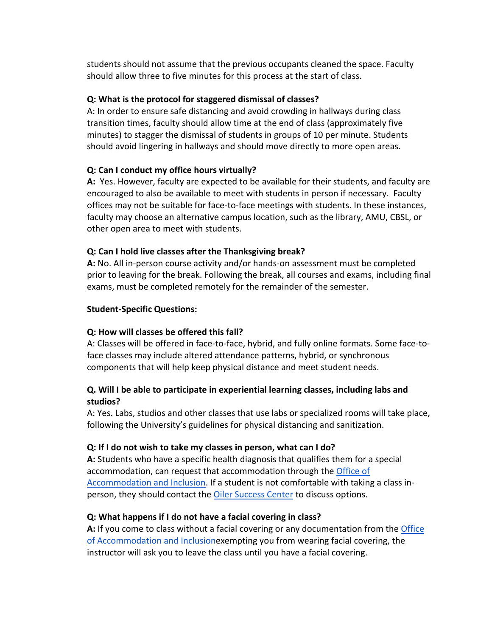students should not assume that the previous occupants cleaned the space. Faculty should allow three to five minutes for this process at the start of class.

#### **Q: What is the protocol for staggered dismissal of classes?**

A: In order to ensure safe distancing and avoid crowding in hallways during class transition times, faculty should allow time at the end of class (approximately five minutes) to stagger the dismissal of students in groups of 10 per minute. Students should avoid lingering in hallways and should move directly to more open areas.

#### **Q: Can I conduct my office hours virtually?**

**A:** Yes. However, faculty are expected to be available for their students, and faculty are encouraged to also be available to meet with students in person if necessary. Faculty offices may not be suitable for face-to-face meetings with students. In these instances, faculty may choose an alternative campus location, such as the library, AMU, CBSL, or other open area to meet with students.

#### **Q: Can I hold live classes after the Thanksgiving break?**

**A:** No. All in-person course activity and/or hands-on assessment must be completed prior to leaving for the break. Following the break, all courses and exams, including final exams, must be completed remotely for the remainder of the semester.

#### **Student-Specific Questions:**

#### **Q: How will classes be offered this fall?**

A: Classes will be offered in face-to-face, hybrid, and fully online formats. Some face-toface classes may include altered attendance patterns, hybrid, or synchronous components that will help keep physical distance and meet student needs.

#### **Q. Will I be able to participate in experiential learning classes, including labs and studios?**

A: Yes. Labs, studios and other classes that use labs or specialized rooms will take place, following the University's guidelines for physical distancing and sanitization.

#### **Q: If I do not wish to take my classes in person, what can I do?**

**A:** Students who have a specific health diagnosis that qualifies them for a special accommodation, can request that accommodation through the Office of Accommodation and Inclusion. If a student is not comfortable with taking a class inperson, they should contact the Oiler Success Center to discuss options.

#### **Q: What happens if I do not have a facial covering in class?**

**A:** If you come to class without a facial covering or any documentation from the Office of Accommodation and Inclusionexempting you from wearing facial covering, the instructor will ask you to leave the class until you have a facial covering.